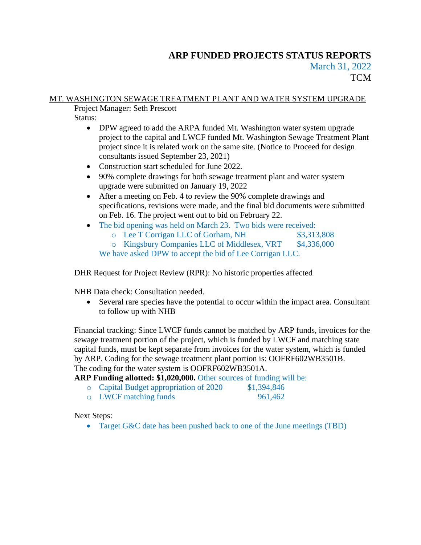# **ARP FUNDED PROJECTS STATUS REPORTS** March 31, 2022 **TCM**

# MT. WASHINGTON SEWAGE TREATMENT PLANT AND WATER SYSTEM UPGRADE

Project Manager: Seth Prescott

Status:

- DPW agreed to add the ARPA funded Mt. Washington water system upgrade project to the capital and LWCF funded Mt. Washington Sewage Treatment Plant project since it is related work on the same site. (Notice to Proceed for design consultants issued September 23, 2021)
- Construction start scheduled for June 2022.
- 90% complete drawings for both sewage treatment plant and water system upgrade were submitted on January 19, 2022
- After a meeting on Feb. 4 to review the 90% complete drawings and specifications, revisions were made, and the final bid documents were submitted on Feb. 16. The project went out to bid on February 22.
- The bid opening was held on March 23. Two bids were received:
	- o Lee T Corrigan LLC of Gorham, NH \$3,313,808
	- o Kingsbury Companies LLC of Middlesex, VRT \$4,336,000

We have asked DPW to accept the bid of Lee Corrigan LLC.

DHR Request for Project Review (RPR): No historic properties affected

NHB Data check: Consultation needed.

• Several rare species have the potential to occur within the impact area. Consultant to follow up with NHB

Financial tracking: Since LWCF funds cannot be matched by ARP funds, invoices for the sewage treatment portion of the project, which is funded by LWCF and matching state capital funds, must be kept separate from invoices for the water system, which is funded by ARP. Coding for the sewage treatment plant portion is: OOFRF602WB3501B. The coding for the water system is OOFRF602WB3501A.

ARP Funding allotted: \$1,020,000. Other sources of funding will be:

- o Capital Budget appropriation of 2020 \$1,394,846
- o LWCF matching funds 961,462

Next Steps:

• Target G&C date has been pushed back to one of the June meetings (TBD)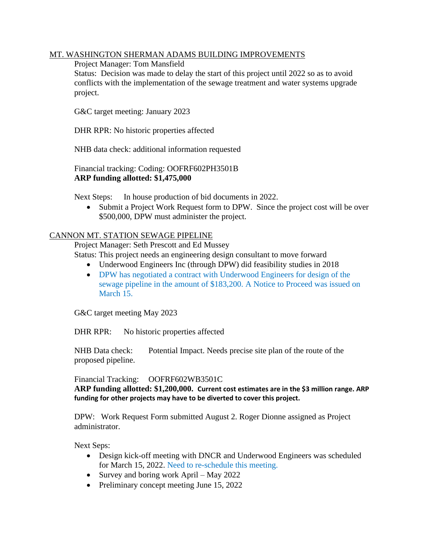### MT. WASHINGTON SHERMAN ADAMS BUILDING IMPROVEMENTS

#### Project Manager: Tom Mansfield

Status: Decision was made to delay the start of this project until 2022 so as to avoid conflicts with the implementation of the sewage treatment and water systems upgrade project.

G&C target meeting: January 2023

DHR RPR: No historic properties affected

NHB data check: additional information requested

Financial tracking: Coding: OOFRF602PH3501B **ARP funding allotted: \$1,475,000**

Next Steps: In house production of bid documents in 2022.

• Submit a Project Work Request form to DPW. Since the project cost will be over \$500,000, DPW must administer the project.

### CANNON MT. STATION SEWAGE PIPELINE

Project Manager: Seth Prescott and Ed Mussey

Status: This project needs an engineering design consultant to move forward

- Underwood Engineers Inc (through DPW) did feasibility studies in 2018
- DPW has negotiated a contract with Underwood Engineers for design of the sewage pipeline in the amount of \$183,200. A Notice to Proceed was issued on March 15.

G&C target meeting May 2023

DHR RPR: No historic properties affected

NHB Data check: Potential Impact. Needs precise site plan of the route of the proposed pipeline.

Financial Tracking: OOFRF602WB3501C

**ARP funding allotted: \$1,200,000. Current cost estimates are in the \$3 million range. ARP funding for other projects may have to be diverted to cover this project.**

DPW: Work Request Form submitted August 2. Roger Dionne assigned as Project administrator.

Next Seps:

- Design kick-off meeting with DNCR and Underwood Engineers was scheduled for March 15, 2022. Need to re-schedule this meeting.
- Survey and boring work April May 2022
- Preliminary concept meeting June 15, 2022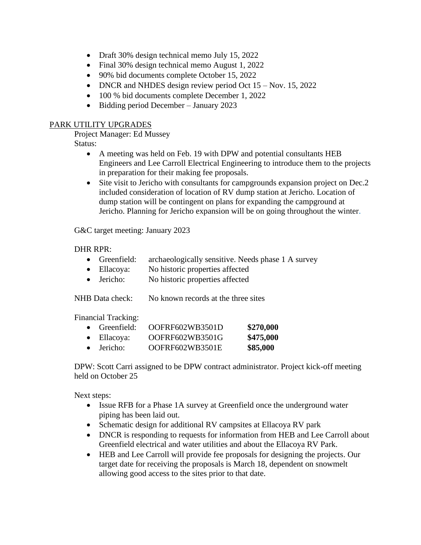- Draft 30% design technical memo July 15, 2022
- Final 30% design technical memo August 1, 2022
- 90% bid documents complete October 15, 2022
- DNCR and NHDES design review period Oct 15 Nov. 15, 2022
- 100 % bid documents complete December 1, 2022
- Bidding period December January 2023

### PARK UTILITY UPGRADES

Project Manager: Ed Mussey

Status:

- A meeting was held on Feb. 19 with DPW and potential consultants HEB Engineers and Lee Carroll Electrical Engineering to introduce them to the projects in preparation for their making fee proposals.
- Site visit to Jericho with consultants for campgrounds expansion project on Dec.2 included consideration of location of RV dump station at Jericho. Location of dump station will be contingent on plans for expanding the campground at Jericho. Planning for Jericho expansion will be on going throughout the winter.

G&C target meeting: January 2023

#### DHR RPR:

- Greenfield: archaeologically sensitive. Needs phase 1 A survey
- Ellacoya: No historic properties affected
- Jericho: No historic properties affected

NHB Data check: No known records at the three sites

Financial Tracking:

|           | $\bullet$ Greenfield: | OOFRF602WB3501D | \$270,000 |
|-----------|-----------------------|-----------------|-----------|
|           | $\bullet$ Ellacoya:   | OOFRF602WB3501G | \$475,000 |
| $\bullet$ | Jericho:              | OOFRF602WB3501E | \$85,000  |

DPW: Scott Carri assigned to be DPW contract administrator. Project kick-off meeting held on October 25

Next steps:

- Issue RFB for a Phase 1A survey at Greenfield once the underground water piping has been laid out.
- Schematic design for additional RV campsites at Ellacoya RV park
- DNCR is responding to requests for information from HEB and Lee Carroll about Greenfield electrical and water utilities and about the Ellacoya RV Park.
- HEB and Lee Carroll will provide fee proposals for designing the projects. Our target date for receiving the proposals is March 18, dependent on snowmelt allowing good access to the sites prior to that date.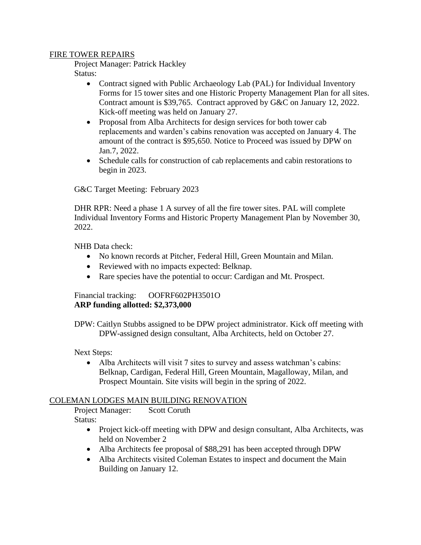#### FIRE TOWER REPAIRS

Project Manager: Patrick Hackley

Status:

- Contract signed with Public Archaeology Lab (PAL) for Individual Inventory Forms for 15 tower sites and one Historic Property Management Plan for all sites. Contract amount is \$39,765. Contract approved by G&C on January 12, 2022. Kick-off meeting was held on January 27.
- Proposal from Alba Architects for design services for both tower cab replacements and warden's cabins renovation was accepted on January 4. The amount of the contract is \$95,650. Notice to Proceed was issued by DPW on Jan.7, 2022.
- Schedule calls for construction of cab replacements and cabin restorations to begin in 2023.

G&C Target Meeting: February 2023

DHR RPR: Need a phase 1 A survey of all the fire tower sites. PAL will complete Individual Inventory Forms and Historic Property Management Plan by November 30, 2022.

NHB Data check:

- No known records at Pitcher, Federal Hill, Green Mountain and Milan.
- Reviewed with no impacts expected: Belknap.
- Rare species have the potential to occur: Cardigan and Mt. Prospect.

#### Financial tracking: OOFRF602PH3501O **ARP funding allotted: \$2,373,000**

DPW: Caitlyn Stubbs assigned to be DPW project administrator. Kick off meeting with DPW-assigned design consultant, Alba Architects, held on October 27.

#### Next Steps:

• Alba Architects will visit 7 sites to survey and assess watchman's cabins: Belknap, Cardigan, Federal Hill, Green Mountain, Magalloway, Milan, and Prospect Mountain. Site visits will begin in the spring of 2022.

#### COLEMAN LODGES MAIN BUILDING RENOVATION

Project Manager: Scott Coruth Status:

- Project kick-off meeting with DPW and design consultant, Alba Architects, was held on November 2
- Alba Architects fee proposal of \$88,291 has been accepted through DPW
- Alba Architects visited Coleman Estates to inspect and document the Main Building on January 12.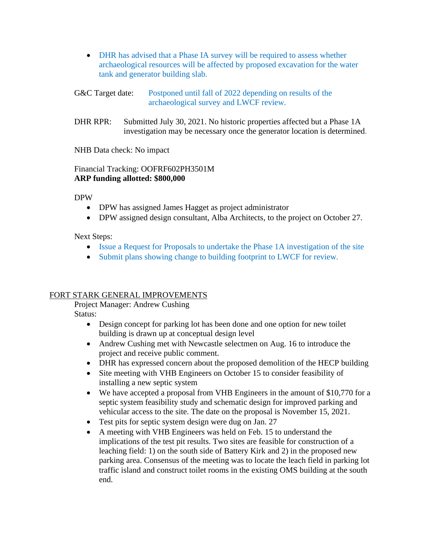- DHR has advised that a Phase IA survey will be required to assess whether archaeological resources will be affected by proposed excavation for the water tank and generator building slab.
- G&C Target date: Postponed until fall of 2022 depending on results of the archaeological survey and LWCF review.
- DHR RPR: Submitted July 30, 2021. No historic properties affected but a Phase 1A investigation may be necessary once the generator location is determined.

NHB Data check: No impact

### Financial Tracking: OOFRF602PH3501M **ARP funding allotted: \$800,000**

DPW

- DPW has assigned James Hagget as project administrator
- DPW assigned design consultant, Alba Architects, to the project on October 27.

Next Steps:

- Issue a Request for Proposals to undertake the Phase 1A investigation of the site
- Submit plans showing change to building footprint to LWCF for review.

#### FORT STARK GENERAL IMPROVEMENTS

Project Manager: Andrew Cushing

Status:

- Design concept for parking lot has been done and one option for new toilet building is drawn up at conceptual design level
- Andrew Cushing met with Newcastle selectmen on Aug. 16 to introduce the project and receive public comment.
- DHR has expressed concern about the proposed demolition of the HECP building
- Site meeting with VHB Engineers on October 15 to consider feasibility of installing a new septic system
- We have accepted a proposal from VHB Engineers in the amount of \$10,770 for a septic system feasibility study and schematic design for improved parking and vehicular access to the site. The date on the proposal is November 15, 2021.
- Test pits for septic system design were dug on Jan. 27
- A meeting with VHB Engineers was held on Feb. 15 to understand the implications of the test pit results. Two sites are feasible for construction of a leaching field: 1) on the south side of Battery Kirk and 2) in the proposed new parking area. Consensus of the meeting was to locate the leach field in parking lot traffic island and construct toilet rooms in the existing OMS building at the south end.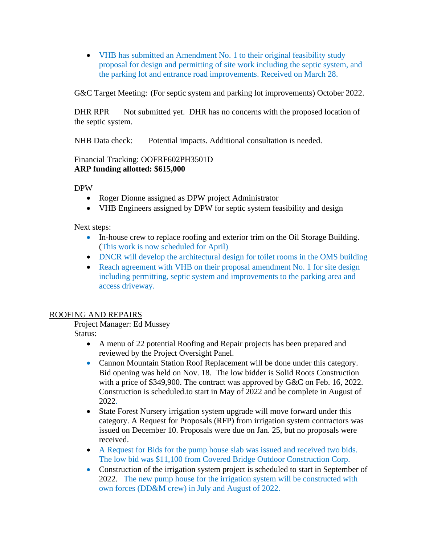• VHB has submitted an Amendment No. 1 to their original feasibility study proposal for design and permitting of site work including the septic system, and the parking lot and entrance road improvements. Received on March 28.

G&C Target Meeting: (For septic system and parking lot improvements) October 2022.

DHR RPR Not submitted yet. DHR has no concerns with the proposed location of the septic system.

NHB Data check: Potential impacts. Additional consultation is needed.

# Financial Tracking: OOFRF602PH3501D **ARP funding allotted: \$615,000**

DPW

- Roger Dionne assigned as DPW project Administrator
- VHB Engineers assigned by DPW for septic system feasibility and design

Next steps:

- In-house crew to replace roofing and exterior trim on the Oil Storage Building. (This work is now scheduled for April)
- DNCR will develop the architectural design for toilet rooms in the OMS building
- Reach agreement with VHB on their proposal amendment No. 1 for site design including permitting, septic system and improvements to the parking area and access driveway.

# ROOFING AND REPAIRS

Project Manager: Ed Mussey

Status:

- A menu of 22 potential Roofing and Repair projects has been prepared and reviewed by the Project Oversight Panel.
- Cannon Mountain Station Roof Replacement will be done under this category. Bid opening was held on Nov. 18. The low bidder is Solid Roots Construction with a price of \$349,900. The contract was approved by G&C on Feb. 16, 2022. Construction is scheduled.to start in May of 2022 and be complete in August of 2022.
- State Forest Nursery irrigation system upgrade will move forward under this category. A Request for Proposals (RFP) from irrigation system contractors was issued on December 10. Proposals were due on Jan. 25, but no proposals were received.
- A Request for Bids for the pump house slab was issued and received two bids. The low bid was \$11,100 from Covered Bridge Outdoor Construction Corp.
- Construction of the irrigation system project is scheduled to start in September of 2022. The new pump house for the irrigation system will be constructed with own forces (DD&M crew) in July and August of 2022.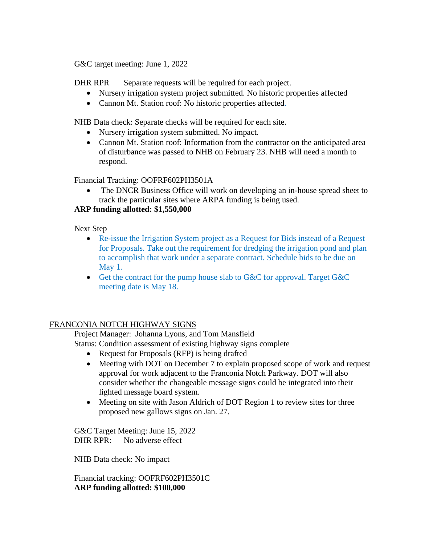G&C target meeting: June 1, 2022

DHR RPR Separate requests will be required for each project.

- Nursery irrigation system project submitted. No historic properties affected
- Cannon Mt. Station roof: No historic properties affected.

NHB Data check: Separate checks will be required for each site.

- Nursery irrigation system submitted. No impact.
- Cannon Mt. Station roof: Information from the contractor on the anticipated area of disturbance was passed to NHB on February 23. NHB will need a month to respond.

Financial Tracking: OOFRF602PH3501A

• The DNCR Business Office will work on developing an in-house spread sheet to track the particular sites where ARPA funding is being used.

# **ARP funding allotted: \$1,550,000**

Next Step

- Re-issue the Irrigation System project as a Request for Bids instead of a Request for Proposals. Take out the requirement for dredging the irrigation pond and plan to accomplish that work under a separate contract. Schedule bids to be due on May 1.
- Get the contract for the pump house slab to G&C for approval. Target G&C meeting date is May 18.

# FRANCONIA NOTCH HIGHWAY SIGNS

Project Manager: Johanna Lyons, and Tom Mansfield

Status: Condition assessment of existing highway signs complete

- Request for Proposals (RFP) is being drafted
- Meeting with DOT on December 7 to explain proposed scope of work and request approval for work adjacent to the Franconia Notch Parkway. DOT will also consider whether the changeable message signs could be integrated into their lighted message board system.
- Meeting on site with Jason Aldrich of DOT Region 1 to review sites for three proposed new gallows signs on Jan. 27.

G&C Target Meeting: June 15, 2022 DHR RPR: No adverse effect

NHB Data check: No impact

Financial tracking: OOFRF602PH3501C **ARP funding allotted: \$100,000**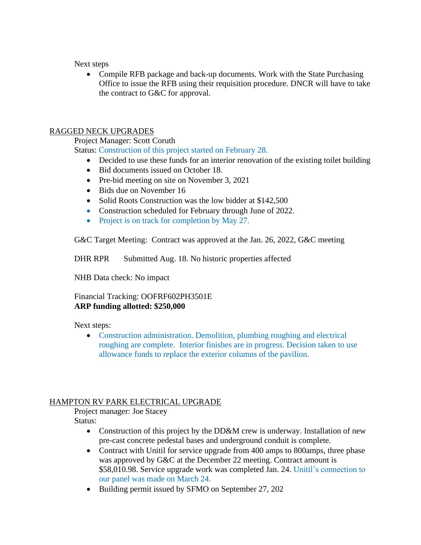Next steps

• Compile RFB package and back-up documents. Work with the State Purchasing Office to issue the RFB using their requisition procedure. DNCR will have to take the contract to G&C for approval.

# RAGGED NECK UPGRADES

Project Manager: Scott Coruth

Status: Construction of this project started on February 28.

- Decided to use these funds for an interior renovation of the existing toilet building
- Bid documents issued on October 18.
- Pre-bid meeting on site on November 3, 2021
- Bids due on November 16
- Solid Roots Construction was the low bidder at \$142,500
- Construction scheduled for February through June of 2022.
- Project is on track for completion by May 27.

G&C Target Meeting: Contract was approved at the Jan. 26, 2022, G&C meeting

DHR RPR Submitted Aug. 18. No historic properties affected

NHB Data check: No impact

#### Financial Tracking: OOFRF602PH3501E **ARP funding allotted: \$250,000**

Next steps:

• Construction administration. Demolition, plumbing roughing and electrical roughing are complete. Interior finishes are in progress. Decision taken to use allowance funds to replace the exterior columns of the pavilion.

# HAMPTON RV PARK ELECTRICAL UPGRADE

Project manager: Joe Stacey

Status:

- Construction of this project by the DD&M crew is underway. Installation of new pre-cast concrete pedestal bases and underground conduit is complete.
- Contract with Unitil for service upgrade from 400 amps to 800 amps, three phase was approved by G&C at the December 22 meeting. Contract amount is \$58,010.98. Service upgrade work was completed Jan. 24. Unitil's connection to our panel was made on March 24.
- Building permit issued by SFMO on September 27, 202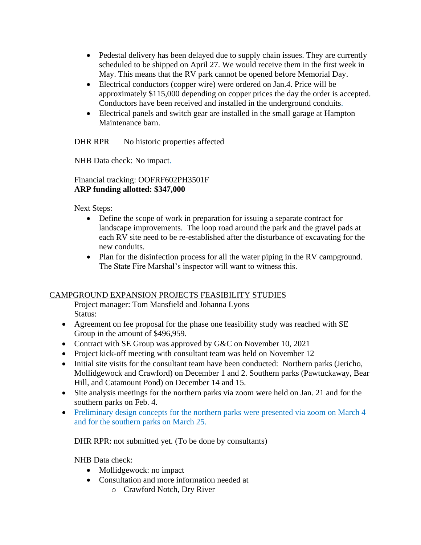- Pedestal delivery has been delayed due to supply chain issues. They are currently scheduled to be shipped on April 27. We would receive them in the first week in May. This means that the RV park cannot be opened before Memorial Day.
- Electrical conductors (copper wire) were ordered on Jan.4. Price will be approximately \$115,000 depending on copper prices the day the order is accepted. Conductors have been received and installed in the underground conduits.
- Electrical panels and switch gear are installed in the small garage at Hampton Maintenance barn.

DHR RPR No historic properties affected

NHB Data check: No impact.

### Financial tracking: OOFRF602PH3501F **ARP funding allotted: \$347,000**

Next Steps:

- Define the scope of work in preparation for issuing a separate contract for landscape improvements. The loop road around the park and the gravel pads at each RV site need to be re-established after the disturbance of excavating for the new conduits.
- Plan for the disinfection process for all the water piping in the RV campground. The State Fire Marshal's inspector will want to witness this.

# CAMPGROUND EXPANSION PROJECTS FEASIBILITY STUDIES

Project manager: Tom Mansfield and Johanna Lyons Status:

- Agreement on fee proposal for the phase one feasibility study was reached with SE Group in the amount of \$496,959.
- Contract with SE Group was approved by G&C on November 10, 2021
- Project kick-off meeting with consultant team was held on November 12
- Initial site visits for the consultant team have been conducted: Northern parks (Jericho, Mollidgewock and Crawford) on December 1 and 2. Southern parks (Pawtuckaway, Bear Hill, and Catamount Pond) on December 14 and 15.
- Site analysis meetings for the northern parks via zoom were held on Jan. 21 and for the southern parks on Feb. 4.
- Preliminary design concepts for the northern parks were presented via zoom on March 4 and for the southern parks on March 25.

DHR RPR: not submitted yet. (To be done by consultants)

NHB Data check:

- Mollidgewock: no impact
- Consultation and more information needed at
	- o Crawford Notch, Dry River